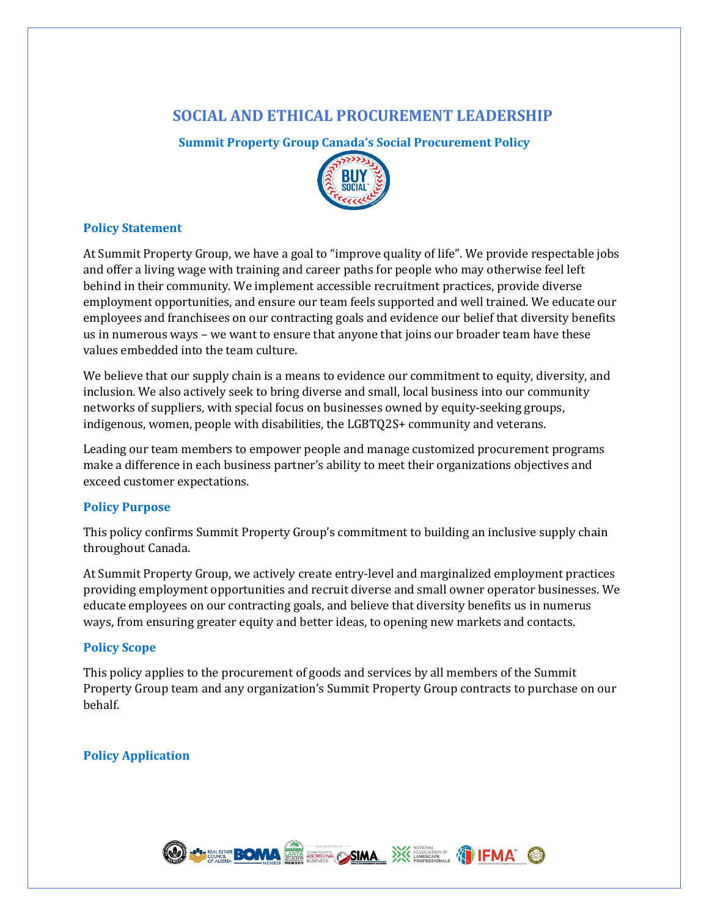# **SOCIAL AND ETHICAL PROCUREMENT LEADERSHIP**

**Summit Property Group Canada's Social Procurement Policy**



#### **Policy Statement**

At Summit Property Group, we have a goal to "improve quality of life". We provide respectable jobs and offer a living wage with training and career paths for people who may otherwise feel left behind in their community. We implement accessible recruitment practices, provide diverse employment opportunities, and ensure our team feels supported and well trained. We educate our employees and franchisees on our contracting goals and evidence our belief that diversity benefits us in numerous ways – we want to ensure that anyone that joins our broader team have these values embedded into the team culture.

We believe that our supply chain is a means to evidence our commitment to equity, diversity, and inclusion. We also actively seek to bring diverse and small, local business into our community networks of suppliers, with special focus on businesses owned by equity-seeking groups, indigenous, women, people with disabilities, the LGBTQ2S+ community and veterans.

Leading our team members to empower people and manage customized procurement programs make a difference in each business partner's ability to meet their organizations objectives and exceed customer expectations.

## **Policy Purpose**

This policy confirms Summit Property Group's commitment to building an inclusive supply chain throughout Canada.

At Summit Property Group, we actively create entry-level and marginalized employment practices providing employment opportunities and recruit diverse and small owner operator businesses. We educate employees on our contracting goals, and believe that diversity benefits us in numerus ways, from ensuring greater equity and better ideas, to opening new markets and contacts.

#### **Policy Scope**

This policy applies to the procurement of goods and services by all members of the Summit Property Group team and any organization's Summit Property Group contracts to purchase on our behalf.

## **Policy Application**